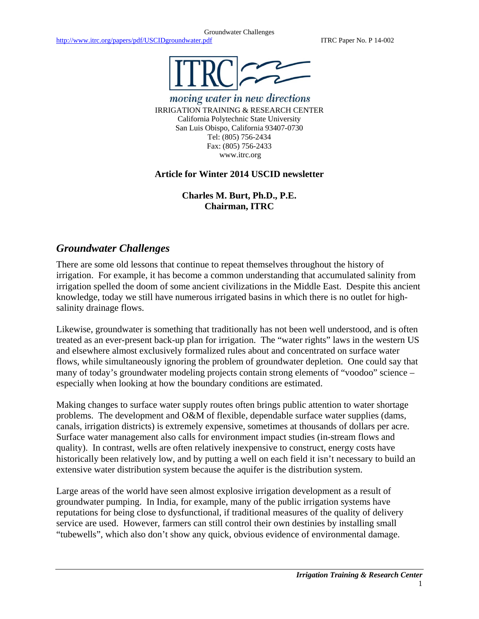

moving water in new directions IRRIGATION TRAINING & RESEARCH CENTER California Polytechnic State University San Luis Obispo, California 93407-0730 Tel: (805) 756-2434 Fax: (805) 756-2433 www.itrc.org

## **Article for Winter 2014 USCID newsletter**

**Charles M. Burt, Ph.D., P.E. Chairman, ITRC**

## *Groundwater Challenges*

There are some old lessons that continue to repeat themselves throughout the history of irrigation. For example, it has become a common understanding that accumulated salinity from irrigation spelled the doom of some ancient civilizations in the Middle East. Despite this ancient knowledge, today we still have numerous irrigated basins in which there is no outlet for highsalinity drainage flows.

Likewise, groundwater is something that traditionally has not been well understood, and is often treated as an ever-present back-up plan for irrigation. The "water rights" laws in the western US and elsewhere almost exclusively formalized rules about and concentrated on surface water flows, while simultaneously ignoring the problem of groundwater depletion. One could say that many of today's groundwater modeling projects contain strong elements of "voodoo" science – especially when looking at how the boundary conditions are estimated.

Making changes to surface water supply routes often brings public attention to water shortage problems. The development and O&M of flexible, dependable surface water supplies (dams, canals, irrigation districts) is extremely expensive, sometimes at thousands of dollars per acre. Surface water management also calls for environment impact studies (in-stream flows and quality). In contrast, wells are often relatively inexpensive to construct, energy costs have historically been relatively low, and by putting a well on each field it isn't necessary to build an extensive water distribution system because the aquifer is the distribution system.

Large areas of the world have seen almost explosive irrigation development as a result of groundwater pumping. In India, for example, many of the public irrigation systems have reputations for being close to dysfunctional, if traditional measures of the quality of delivery service are used. However, farmers can still control their own destinies by installing small "tubewells", which also don't show any quick, obvious evidence of environmental damage.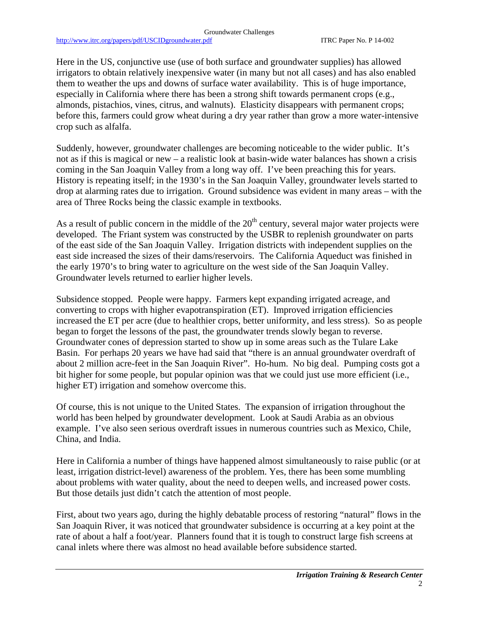http://www.itrc.org/papers/pdf/USCIDgroundwater.pdf ITRC Paper No. P 14-002

Here in the US, conjunctive use (use of both surface and groundwater supplies) has allowed irrigators to obtain relatively inexpensive water (in many but not all cases) and has also enabled them to weather the ups and downs of surface water availability. This is of huge importance, especially in California where there has been a strong shift towards permanent crops (e.g., almonds, pistachios, vines, citrus, and walnuts). Elasticity disappears with permanent crops; before this, farmers could grow wheat during a dry year rather than grow a more water-intensive crop such as alfalfa.

Suddenly, however, groundwater challenges are becoming noticeable to the wider public. It's not as if this is magical or new – a realistic look at basin-wide water balances has shown a crisis coming in the San Joaquin Valley from a long way off. I've been preaching this for years. History is repeating itself; in the 1930's in the San Joaquin Valley, groundwater levels started to drop at alarming rates due to irrigation. Ground subsidence was evident in many areas – with the area of Three Rocks being the classic example in textbooks.

As a result of public concern in the middle of the  $20<sup>th</sup>$  century, several major water projects were developed. The Friant system was constructed by the USBR to replenish groundwater on parts of the east side of the San Joaquin Valley. Irrigation districts with independent supplies on the east side increased the sizes of their dams/reservoirs. The California Aqueduct was finished in the early 1970's to bring water to agriculture on the west side of the San Joaquin Valley. Groundwater levels returned to earlier higher levels.

Subsidence stopped. People were happy. Farmers kept expanding irrigated acreage, and converting to crops with higher evapotranspiration (ET). Improved irrigation efficiencies increased the ET per acre (due to healthier crops, better uniformity, and less stress). So as people began to forget the lessons of the past, the groundwater trends slowly began to reverse. Groundwater cones of depression started to show up in some areas such as the Tulare Lake Basin. For perhaps 20 years we have had said that "there is an annual groundwater overdraft of about 2 million acre-feet in the San Joaquin River". Ho-hum. No big deal. Pumping costs got a bit higher for some people, but popular opinion was that we could just use more efficient (i.e., higher ET) irrigation and somehow overcome this.

Of course, this is not unique to the United States. The expansion of irrigation throughout the world has been helped by groundwater development. Look at Saudi Arabia as an obvious example. I've also seen serious overdraft issues in numerous countries such as Mexico, Chile, China, and India.

Here in California a number of things have happened almost simultaneously to raise public (or at least, irrigation district-level) awareness of the problem. Yes, there has been some mumbling about problems with water quality, about the need to deepen wells, and increased power costs. But those details just didn't catch the attention of most people.

First, about two years ago, during the highly debatable process of restoring "natural" flows in the San Joaquin River, it was noticed that groundwater subsidence is occurring at a key point at the rate of about a half a foot/year. Planners found that it is tough to construct large fish screens at canal inlets where there was almost no head available before subsidence started.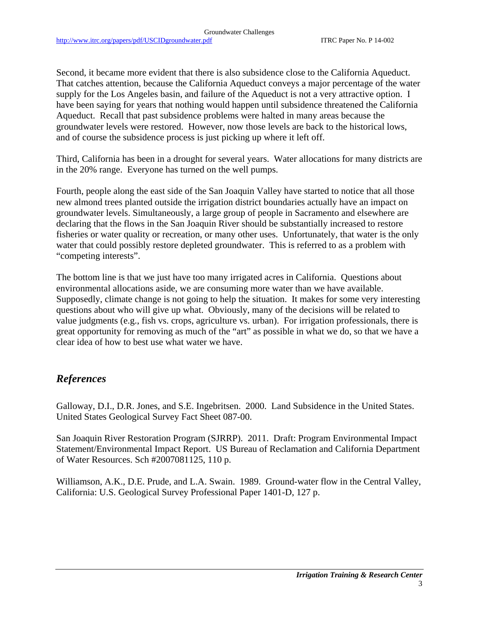Second, it became more evident that there is also subsidence close to the California Aqueduct. That catches attention, because the California Aqueduct conveys a major percentage of the water supply for the Los Angeles basin, and failure of the Aqueduct is not a very attractive option. I have been saying for years that nothing would happen until subsidence threatened the California Aqueduct. Recall that past subsidence problems were halted in many areas because the groundwater levels were restored. However, now those levels are back to the historical lows, and of course the subsidence process is just picking up where it left off.

Third, California has been in a drought for several years. Water allocations for many districts are in the 20% range. Everyone has turned on the well pumps.

Fourth, people along the east side of the San Joaquin Valley have started to notice that all those new almond trees planted outside the irrigation district boundaries actually have an impact on groundwater levels. Simultaneously, a large group of people in Sacramento and elsewhere are declaring that the flows in the San Joaquin River should be substantially increased to restore fisheries or water quality or recreation, or many other uses. Unfortunately, that water is the only water that could possibly restore depleted groundwater. This is referred to as a problem with "competing interests".

The bottom line is that we just have too many irrigated acres in California. Questions about environmental allocations aside, we are consuming more water than we have available. Supposedly, climate change is not going to help the situation. It makes for some very interesting questions about who will give up what. Obviously, many of the decisions will be related to value judgments (e.g., fish vs. crops, agriculture vs. urban). For irrigation professionals, there is great opportunity for removing as much of the "art" as possible in what we do, so that we have a clear idea of how to best use what water we have.

## *References*

Galloway, D.I., D.R. Jones, and S.E. Ingebritsen. 2000. Land Subsidence in the United States. United States Geological Survey Fact Sheet 087-00.

San Joaquin River Restoration Program (SJRRP). 2011. Draft: Program Environmental Impact Statement/Environmental Impact Report. US Bureau of Reclamation and California Department of Water Resources. Sch #2007081125, 110 p.

Williamson, A.K., D.E. Prude, and L.A. Swain. 1989. Ground-water flow in the Central Valley, California: U.S. Geological Survey Professional Paper 1401-D, 127 p.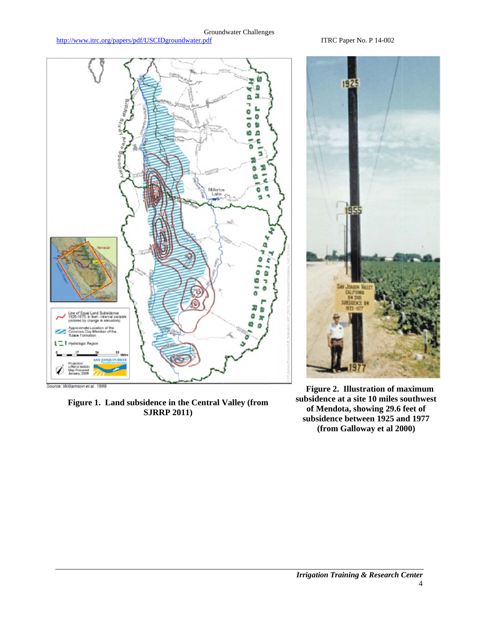## **Groundwater Challenges**

http://www.itrc.org/papers/pdf/USCIDgroundwater.pdf

ITRC Paper No. P 14-002



Figure 1. Land subsidence in the Central Valley (from **SJRRP 2011)** 

Figure 2. Illustration of maximum subsidence at a site 10 miles southwest of Mendota, showing 29.6 feet of subsidence between 1925 and 1977 (from Galloway et al 2000)